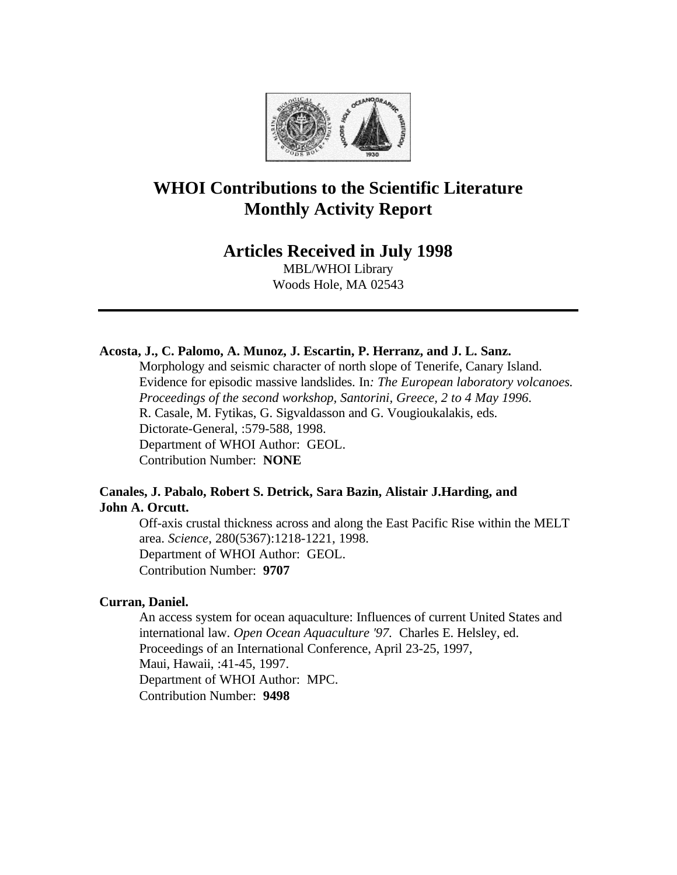

# **WHOI Contributions to the Scientific Literature Monthly Activity Report**

## **Articles Received in July 1998**

MBL/WHOI Library Woods Hole, MA 02543

## **Acosta, J., C. Palomo, A. Munoz, J. Escartin, P. Herranz, and J. L. Sanz.**

Morphology and seismic character of north slope of Tenerife, Canary Island. Evidence for episodic massive landslides. In*: The European laboratory volcanoes. Proceedings of the second workshop, Santorini, Greece, 2 to 4 May 1996*. R. Casale, M. Fytikas, G. Sigvaldasson and G. Vougioukalakis, eds. Dictorate-General, :579-588, 1998. Department of WHOI Author: GEOL. Contribution Number: **NONE**

## **Canales, J. Pabalo, Robert S. Detrick, Sara Bazin, Alistair J.Harding, and John A. Orcutt.**

Off-axis crustal thickness across and along the East Pacific Rise within the MELT area. *Science*, 280(5367):1218-1221, 1998. Department of WHOI Author: GEOL. Contribution Number: **9707**

## **Curran, Daniel.**

An access system for ocean aquaculture: Influences of current United States and international law. *Open Ocean Aquaculture '97.* Charles E. Helsley, ed. Proceedings of an International Conference, April 23-25, 1997, Maui, Hawaii, :41-45, 1997. Department of WHOI Author: MPC. Contribution Number: **9498**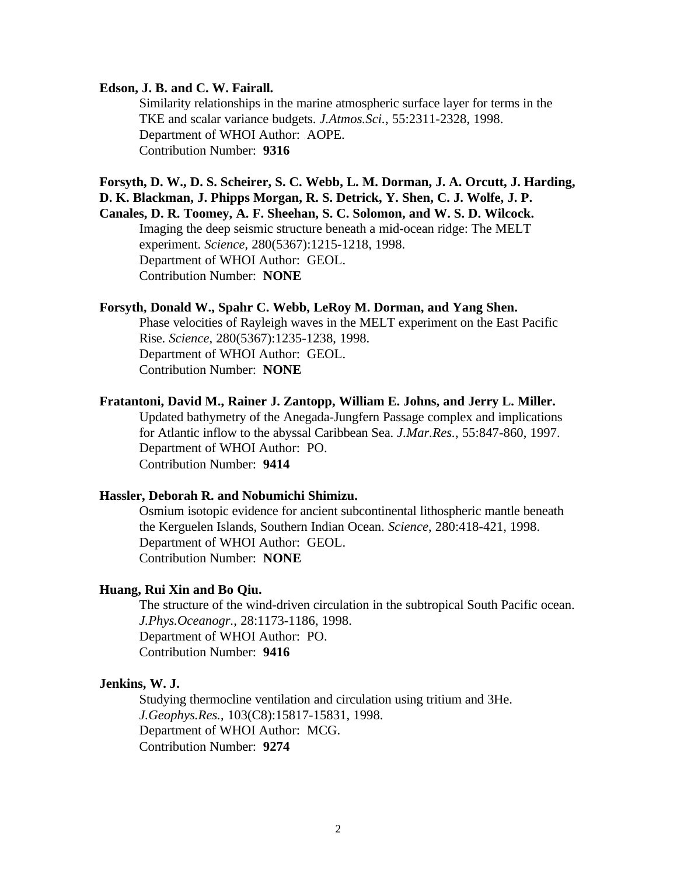## **Edson, J. B. and C. W. Fairall.**

Similarity relationships in the marine atmospheric surface layer for terms in the TKE and scalar variance budgets. *J.Atmos.Sci.*, 55:2311-2328, 1998. Department of WHOI Author: AOPE. Contribution Number: **9316**

**Forsyth, D. W., D. S. Scheirer, S. C. Webb, L. M. Dorman, J. A. Orcutt, J. Harding, D. K. Blackman, J. Phipps Morgan, R. S. Detrick, Y. Shen, C. J. Wolfe, J. P.**

**Canales, D. R. Toomey, A. F. Sheehan, S. C. Solomon, and W. S. D. Wilcock.** Imaging the deep seismic structure beneath a mid-ocean ridge: The MELT experiment. *Science*, 280(5367):1215-1218, 1998. Department of WHOI Author: GEOL. Contribution Number: **NONE**

## **Forsyth, Donald W., Spahr C. Webb, LeRoy M. Dorman, and Yang Shen.**

Phase velocities of Rayleigh waves in the MELT experiment on the East Pacific Rise. *Science*, 280(5367):1235-1238, 1998. Department of WHOI Author: GEOL.

Contribution Number: **NONE**

**Fratantoni, David M., Rainer J. Zantopp, William E. Johns, and Jerry L. Miller.** Updated bathymetry of the Anegada-Jungfern Passage complex and implications for Atlantic inflow to the abyssal Caribbean Sea. *J.Mar.Res.*, 55:847-860, 1997. Department of WHOI Author: PO. Contribution Number: **9414**

#### **Hassler, Deborah R. and Nobumichi Shimizu.**

Osmium isotopic evidence for ancient subcontinental lithospheric mantle beneath the Kerguelen Islands, Southern Indian Ocean. *Science*, 280:418-421, 1998. Department of WHOI Author: GEOL. Contribution Number: **NONE**

## **Huang, Rui Xin and Bo Qiu.**

The structure of the wind-driven circulation in the subtropical South Pacific ocean. *J.Phys.Oceanogr.*, 28:1173-1186, 1998. Department of WHOI Author: PO.

Contribution Number: **9416**

#### **Jenkins, W. J.**

Studying thermocline ventilation and circulation using tritium and 3He. *J.Geophys.Res.*, 103(C8):15817-15831, 1998. Department of WHOI Author: MCG. Contribution Number: **9274**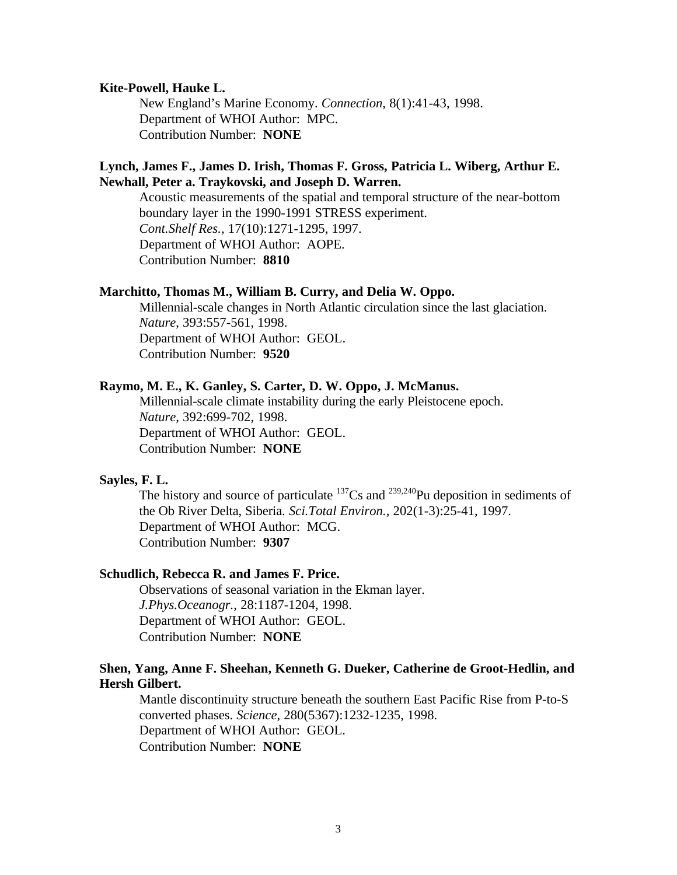## **Kite-Powell, Hauke L.**

New England's Marine Economy. *Connection*, 8(1):41-43, 1998. Department of WHOI Author: MPC. Contribution Number: **NONE**

## **Lynch, James F., James D. Irish, Thomas F. Gross, Patricia L. Wiberg, Arthur E. Newhall, Peter a. Traykovski, and Joseph D. Warren.**

Acoustic measurements of the spatial and temporal structure of the near-bottom boundary layer in the 1990-1991 STRESS experiment. *Cont.Shelf Res.*, 17(10):1271-1295, 1997. Department of WHOI Author: AOPE. Contribution Number: **8810**

## **Marchitto, Thomas M., William B. Curry, and Delia W. Oppo.**

Millennial-scale changes in North Atlantic circulation since the last glaciation. *Nature*, 393:557-561, 1998. Department of WHOI Author: GEOL. Contribution Number: **9520**

## **Raymo, M. E., K. Ganley, S. Carter, D. W. Oppo, J. McManus.**

Millennial-scale climate instability during the early Pleistocene epoch. *Nature*, 392:699-702, 1998. Department of WHOI Author: GEOL. Contribution Number: **NONE**

## **Sayles, F. L.**

The history and source of particulate  $137Cs$  and  $239,240Pu$  deposition in sediments of the Ob River Delta, Siberia. *Sci.Total Environ.*, 202(1-3):25-41, 1997. Department of WHOI Author: MCG. Contribution Number: **9307**

#### **Schudlich, Rebecca R. and James F. Price.**

Observations of seasonal variation in the Ekman layer. *J.Phys.Oceanogr.*, 28:1187-1204, 1998. Department of WHOI Author: GEOL. Contribution Number: **NONE**

## **Shen, Yang, Anne F. Sheehan, Kenneth G. Dueker, Catherine de Groot-Hedlin, and Hersh Gilbert.**

Mantle discontinuity structure beneath the southern East Pacific Rise from P-to-S converted phases. *Science*, 280(5367):1232-1235, 1998. Department of WHOI Author: GEOL. Contribution Number: **NONE**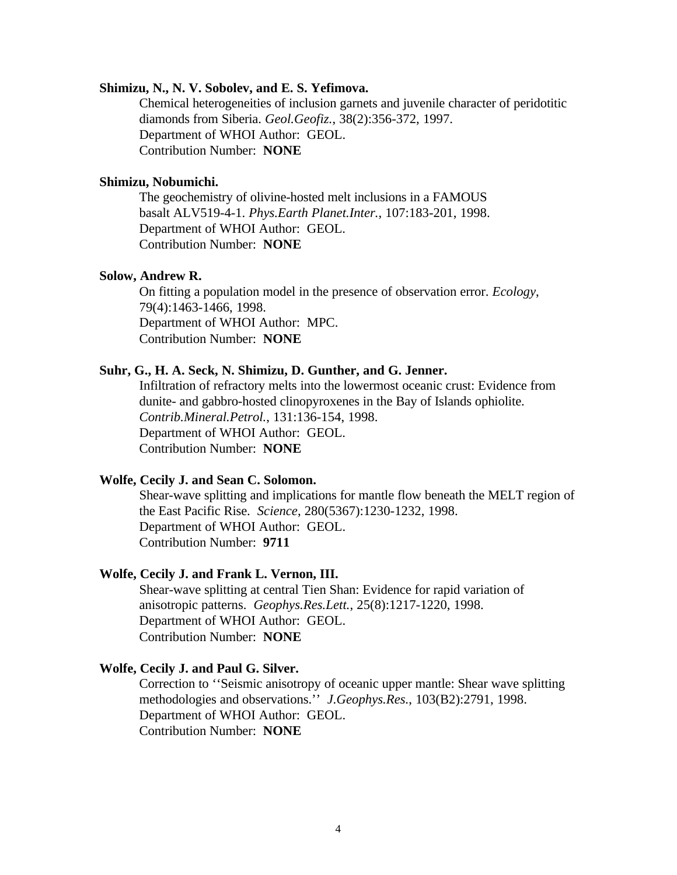## **Shimizu, N., N. V. Sobolev, and E. S. Yefimova.**

Chemical heterogeneities of inclusion garnets and juvenile character of peridotitic diamonds from Siberia. *Geol.Geofiz.*, 38(2):356-372, 1997. Department of WHOI Author: GEOL. Contribution Number: **NONE**

## **Shimizu, Nobumichi.**

The geochemistry of olivine-hosted melt inclusions in a FAMOUS basalt ALV519-4-1. *Phys.Earth Planet.Inter.*, 107:183-201, 1998. Department of WHOI Author: GEOL. Contribution Number: **NONE**

#### **Solow, Andrew R.**

On fitting a population model in the presence of observation error. *Ecology*, 79(4):1463-1466, 1998. Department of WHOI Author: MPC. Contribution Number: **NONE**

## **Suhr, G., H. A. Seck, N. Shimizu, D. Gunther, and G. Jenner.**

Infiltration of refractory melts into the lowermost oceanic crust: Evidence from dunite- and gabbro-hosted clinopyroxenes in the Bay of Islands ophiolite. *Contrib.Mineral.Petrol.*, 131:136-154, 1998. Department of WHOI Author: GEOL. Contribution Number: **NONE**

## **Wolfe, Cecily J. and Sean C. Solomon.**

Shear-wave splitting and implications for mantle flow beneath the MELT region of the East Pacific Rise. *Science*, 280(5367):1230-1232, 1998. Department of WHOI Author: GEOL. Contribution Number: **9711**

#### **Wolfe, Cecily J. and Frank L. Vernon, III.**

Shear-wave splitting at central Tien Shan: Evidence for rapid variation of anisotropic patterns. *Geophys.Res.Lett.*, 25(8):1217-1220, 1998. Department of WHOI Author: GEOL. Contribution Number: **NONE**

## **Wolfe, Cecily J. and Paul G. Silver.**

Correction to ''Seismic anisotropy of oceanic upper mantle: Shear wave splitting methodologies and observations.'' *J.Geophys.Res.*, 103(B2):2791, 1998. Department of WHOI Author: GEOL. Contribution Number: **NONE**